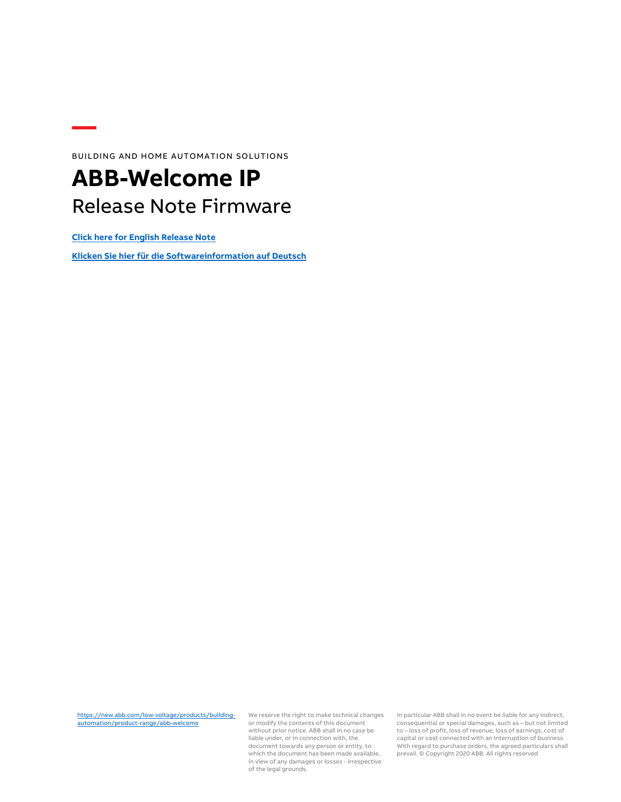BUILDING AND HOME AUTOMATION SOLUTIONS

### **ABB-Welcome IP** Release Note Firmware

**[Click here for English Release Note](#page-1-0)**

**[Klicken Sie hier für die Softwareinformation](#page-3-0) auf Deutsch**

[https://new.abb.com/low-voltage/products/building](https://new.abb.com/low-voltage/products/building-automation/product-range/abb-welcome)[automation/product-range/abb-welcome](https://new.abb.com/low-voltage/products/building-automation/product-range/abb-welcome)

We reserve the right to make technical changes or modify the contents of this document without prior notice. ABB shall in no case be liable under, or in connection with, the document towards any person or entity, to which the document has been made available, in view of any damages or losses - irrespective of the legal grounds.

In particular ABB shall in no event be liable for any indirect, consequential or special damages, such as – but not limited to – loss of profit, loss of revenue, loss of earnings, cost of capital or cost connected with an interruption of business With regard to purchase orders, the agreed particulars shall prevail. © Copyright 2020 ABB. All rights reserved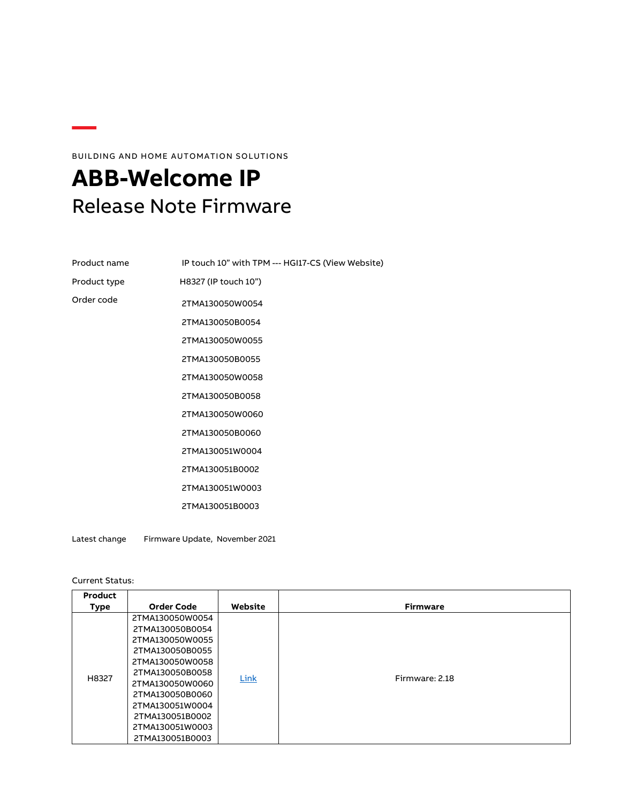### BUILDING AND HOME AUTOMATION SOLUTIONS

## <span id="page-1-0"></span>**ABB-Welcome IP** Release Note Firmware

| Product name | IP touch 10" with TPM --- HGI17-CS (View Website) |  |  |
|--------------|---------------------------------------------------|--|--|
| Product type | H8327 (IP touch 10")                              |  |  |
| Order code   | 2TMA130050W0054                                   |  |  |
|              | 2TMA130050B0054                                   |  |  |
|              | 2TMA130050W0055                                   |  |  |
|              | 2TMA130050B0055                                   |  |  |
|              | 2TMA130050W0058                                   |  |  |
|              | 2TMA130050B0058                                   |  |  |
|              | 2TMA130050W0060                                   |  |  |
|              | 2TMA130050B0060                                   |  |  |
|              | 2TMA130051W0004                                   |  |  |
|              | 2TMA130051B0002                                   |  |  |
|              | 2TMA130051W0003                                   |  |  |
|              | 2TMA130051B0003                                   |  |  |
|              |                                                   |  |  |

Latest change Firmware Update, November 2021

Current Status:

| Product<br>Type | <b>Order Code</b>                                                                                                                                                                                                                | Website | <b>Firmware</b> |
|-----------------|----------------------------------------------------------------------------------------------------------------------------------------------------------------------------------------------------------------------------------|---------|-----------------|
| H8327           | 2TMA130050W0054<br>2TMA130050B0054<br>2TMA130050W0055<br>2TMA130050B0055<br>2TMA130050W0058<br>2TMA130050B0058<br>2TMA130050W0060<br>2TMA130050B0060<br>2TMA130051W0004<br>2TMA130051B0002<br>2TMA130051W0003<br>2TMA130051B0003 | Link    | Firmware: 2.18  |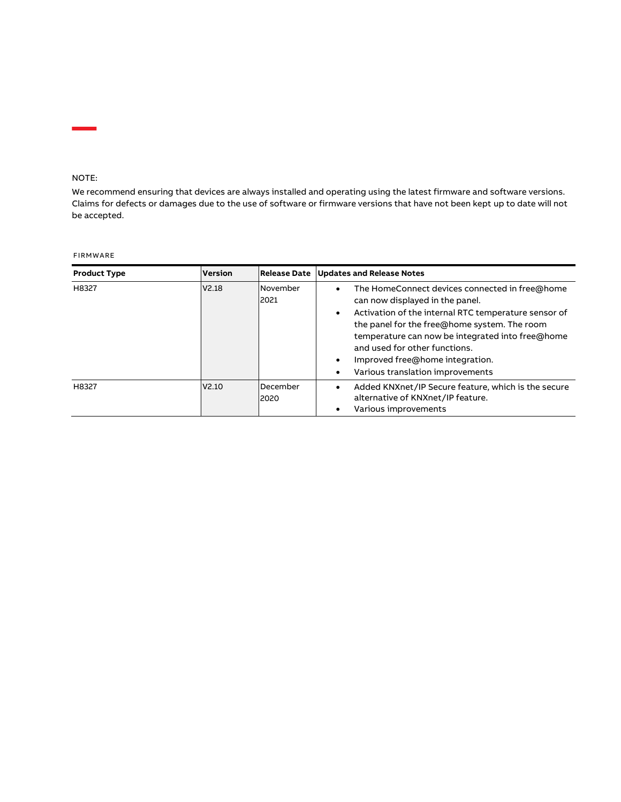#### NOTE:

We recommend ensuring that devices are always installed and operating using the latest firmware and software versions. Claims for defects or damages due to the use of software or firmware versions that have not been kept up to date will not be accepted.

#### FIRMWARE

| <b>Product Type</b> | <b>Version</b>    | <b>Release Date</b>     | <b>Updates and Release Notes</b>                                                                                                                                                                                                                                                                                                                                                                          |
|---------------------|-------------------|-------------------------|-----------------------------------------------------------------------------------------------------------------------------------------------------------------------------------------------------------------------------------------------------------------------------------------------------------------------------------------------------------------------------------------------------------|
| H8327               | V2.18             | November<br>2021        | The HomeConnect devices connected in free@home<br>$\bullet$<br>can now displayed in the panel.<br>Activation of the internal RTC temperature sensor of<br>$\bullet$<br>the panel for the free@home system. The room<br>temperature can now be integrated into free@home<br>and used for other functions.<br>Improved free@home integration.<br>$\bullet$<br>Various translation improvements<br>$\bullet$ |
| H8327               | V <sub>2.10</sub> | <b>December</b><br>2020 | Added KNXnet/IP Secure feature, which is the secure<br>alternative of KNXnet/IP feature.<br>Various improvements                                                                                                                                                                                                                                                                                          |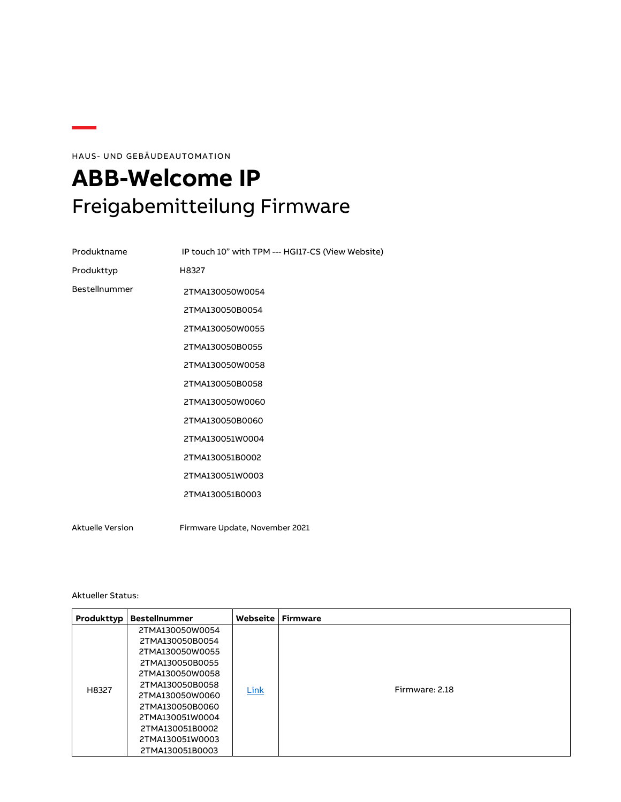HAUS- UND GEBÄUDEAUTOMATION

# <span id="page-3-0"></span>**ABB-Welcome IP** Freigabemitteilung Firmware

| Produktname             | IP touch 10" with TPM --- HGI17-CS (View Website) |  |
|-------------------------|---------------------------------------------------|--|
| Produkttyp              | H8327                                             |  |
| Bestellnummer           | 2TMA130050W0054                                   |  |
|                         | 2TMA130050B0054                                   |  |
|                         | 2TMA130050W0055                                   |  |
|                         | 2TMA130050B0055                                   |  |
|                         | 2TMA130050W0058                                   |  |
|                         | 2TMA130050B0058                                   |  |
|                         | 2TMA130050W0060                                   |  |
|                         | 2TMA130050B0060                                   |  |
|                         | 2TMA130051W0004                                   |  |
|                         | 2TMA130051B0002                                   |  |
|                         | 2TMA130051W0003                                   |  |
|                         | 2TMA130051B0003                                   |  |
|                         |                                                   |  |
| <b>Aktuelle Version</b> | Firmware Update, November 2021                    |  |

Aktueller Status:

| Produkttyp | <b>Bestellnummer</b>                                                                                                                                                                       | Webseite | <b>Firmware</b> |
|------------|--------------------------------------------------------------------------------------------------------------------------------------------------------------------------------------------|----------|-----------------|
| H8327      | 2TMA130050W0054<br>2TMA130050B0054<br>2TMA130050W0055<br>2TMA130050B0055<br>2TMA130050W0058<br>2TMA130050B0058<br>2TMA130050W0060<br>2TMA130050B0060<br>2TMA130051W0004<br>2TMA130051B0002 | Link     | Firmware: 2.18  |
|            | 2TMA130051W0003<br>2TMA130051B0003                                                                                                                                                         |          |                 |